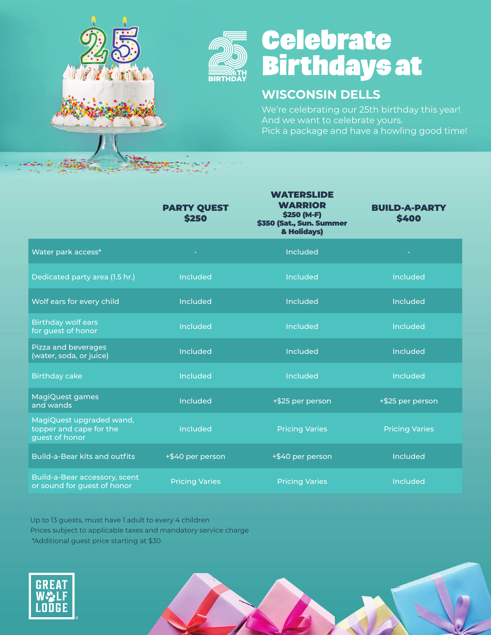

## **Celebrate<br>Birthdays at**

### **WISCONSIN DELLS**

We're celebrating our 25th birthday this year! And we want to celebrate yours. Pick a package and have a howling good time!

|                                                                       | <b>PARTY QUEST</b><br><b>\$250</b> | <b>WATERSLIDE</b><br><b>WARRIOR</b><br>\$250 (M-F)<br>\$350 (Sat., Sun. Summer<br>& Holidays) | <b>BUILD-A-PARTY</b><br>\$400 |
|-----------------------------------------------------------------------|------------------------------------|-----------------------------------------------------------------------------------------------|-------------------------------|
| Water park access*                                                    |                                    | Included                                                                                      |                               |
| Dedicated party area (1.5 hr.)                                        | Included                           | Included                                                                                      | Included                      |
| Wolf ears for every child                                             | <b>Included</b>                    | Included                                                                                      | <b>Included</b>               |
| <b>Birthday wolf ears</b><br>for guest of honor                       | <b>Included</b>                    | Included                                                                                      | <b>Included</b>               |
| Pizza and beverages<br>(water, soda, or juice)                        | <b>Included</b>                    | Included                                                                                      | <b>Included</b>               |
| <b>Birthday cake</b>                                                  | <b>Included</b>                    | Included                                                                                      | <b>Included</b>               |
| MagiQuest games<br>and wands                                          | <b>Included</b>                    | +\$25 per person                                                                              | +\$25 per person              |
| MagiQuest upgraded wand,<br>topper and cape for the<br>guest of honor | <b>Included</b>                    | <b>Pricing Varies</b>                                                                         | <b>Pricing Varies</b>         |
| <b>Build-a-Bear kits and outfits</b>                                  | +\$40 per person                   | +\$40 per person                                                                              | <b>Included</b>               |
| Build-a-Bear accessory, scent<br>or sound for guest of honor          | <b>Pricing Varies</b>              | <b>Pricing Varies</b>                                                                         | Included                      |

Up to 13 guests, must have 1 adult to every 4 children Prices subject to applicable taxes and mandatory service charge \*Additional guest price starting at \$30